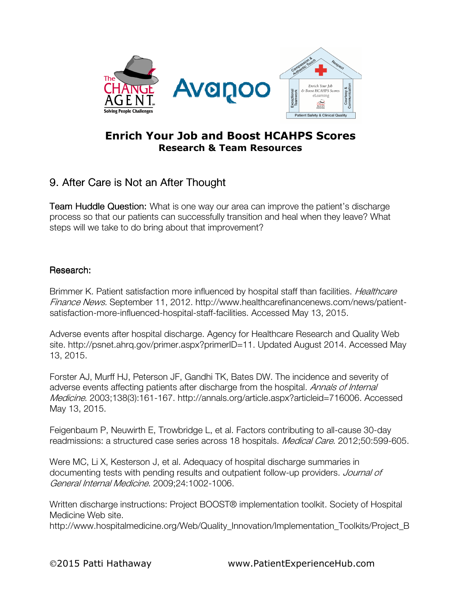

## Enrich Your Job and Boost HCAHPS Scores Research & Team Resources

## 9. After Care is Not an After Thought

**Team Huddle Question:** What is one way our area can improve the patient's discharge process so that our patients can successfully transition and heal when they leave? What steps will we take to do bring about that improvement?

## Research:

Brimmer K. Patient satisfaction more influenced by hospital staff than facilities. *Healthcare* Finance News. September 11, 2012. http://www.healthcarefinancenews.com/news/patientsatisfaction-more-influenced-hospital-staff-facilities. Accessed May 13, 2015.

Adverse events after hospital discharge. Agency for Healthcare Research and Quality Web site. http://psnet.ahrq.gov/primer.aspx?primerID=11. Updated August 2014. Accessed May 13, 2015.

Forster AJ, Murff HJ, Peterson JF, Gandhi TK, Bates DW. The incidence and severity of adverse events affecting patients after discharge from the hospital. Annals of Internal Medicine. 2003;138(3):161-167. http://annals.org/article.aspx?articleid=716006. Accessed May 13, 2015.

Feigenbaum P, Neuwirth E, Trowbridge L, et al. Factors contributing to all-cause 30-day readmissions: a structured case series across 18 hospitals. Medical Care. 2012;50:599-605.

Were MC, Li X, Kesterson J, et al. Adequacy of hospital discharge summaries in documenting tests with pending results and outpatient follow-up providers. Journal of General Internal Medicine. 2009;24:1002-1006.

Written discharge instructions: Project BOOST® implementation toolkit. Society of Hospital Medicine Web site.

http://www.hospitalmedicine.org/Web/Quality\_Innovation/Implementation\_Toolkits/Project\_B